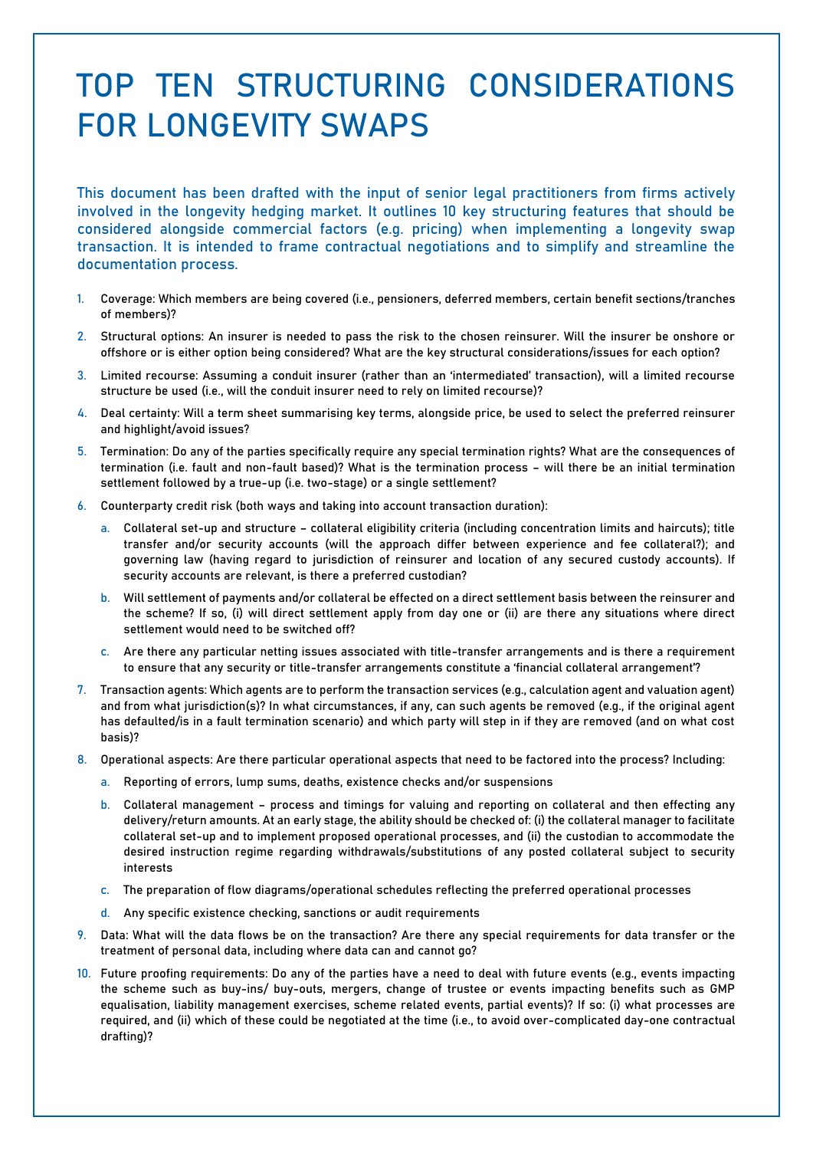## TOP TEN STRUCTURING CONSIDERATIONS FOR LONGEVITY SWAPS

This document has been drafted with the input of senior legal practitioners from firms actively involved in the longevity hedging market. It outlines 10 key structuring features that should be considered alongside commercial factors (e.g. pricing) when implementing a longevity swap transaction. It is intended to frame contractual negotiations and to simplify and streamline the documentation process.

- 1. Coverage: Which members are being covered (i.e., pensioners, deferred members, certain benefit sections/tranches of members)?
- 2. Structural options: An insurer is needed to pass the risk to the chosen reinsurer. Will the insurer be onshore or offshore or is either option being considered? What are the key structural considerations/issues for each option?
- 3. Limited recourse: Assuming a conduit insurer (rather than an 'intermediated' transaction), will a limited recourse structure be used (i.e., will the conduit insurer need to rely on limited recourse)?
- 4. Deal certainty: Will a term sheet summarising key terms, alongside price, be used to select the preferred reinsurer and highlight/avoid issues?
- 5. Termination: Do any of the parties specifically require any special termination rights? What are the consequences of termination (i.e. fault and non-fault based)? What is the termination process – will there be an initial termination settlement followed by a true-up (i.e. two-stage) or a single settlement?
- 6. Counterparty credit risk (both ways and taking into account transaction duration):
	- a. Collateral set-up and structure collateral eligibility criteria (including concentration limits and haircuts); title transfer and/or security accounts (will the approach differ between experience and fee collateral?); and governing law (having regard to jurisdiction of reinsurer and location of any secured custody accounts). If security accounts are relevant, is there a preferred custodian?
	- b. Will settlement of payments and/or collateral be effected on a direct settlement basis between the reinsurer and the scheme? If so, (i) will direct settlement apply from day one or (ii) are there any situations where direct settlement would need to be switched off?
	- c. Are there any particular netting issues associated with title-transfer arrangements and is there a requirement to ensure that any security or title-transfer arrangements constitute a 'financial collateral arrangement'?
- 7. Transaction agents: Which agents are to perform the transaction services (e.g., calculation agent and valuation agent) and from what jurisdiction(s)? In what circumstances, if any, can such agents be removed (e.g., if the original agent has defaulted/is in a fault termination scenario) and which party will step in if they are removed (and on what cost basis)?
- 8. Operational aspects: Are there particular operational aspects that need to be factored into the process? Including:
	- a. Reporting of errors, lump sums, deaths, existence checks and/or suspensions
	- b. Collateral management process and timings for valuing and reporting on collateral and then effecting any delivery/return amounts. At an early stage, the ability should be checked of: (i) the collateral manager to facilitate collateral set-up and to implement proposed operational processes, and (ii) the custodian to accommodate the desired instruction regime regarding withdrawals/substitutions of any posted collateral subject to security interests
	- c. The preparation of flow diagrams/operational schedules reflecting the preferred operational processes
	- d. Any specific existence checking, sanctions or audit requirements
- 9. Data: What will the data flows be on the transaction? Are there any special requirements for data transfer or the treatment of personal data, including where data can and cannot go?
- 10. Future proofing requirements: Do any of the parties have a need to deal with future events (e.g., events impacting the scheme such as buy-ins/ buy-outs, mergers, change of trustee or events impacting benefits such as GMP equalisation, liability management exercises, scheme related events, partial events)? If so: (i) what processes are required, and (ii) which of these could be negotiated at the time (i.e., to avoid over-complicated day-one contractual drafting)?